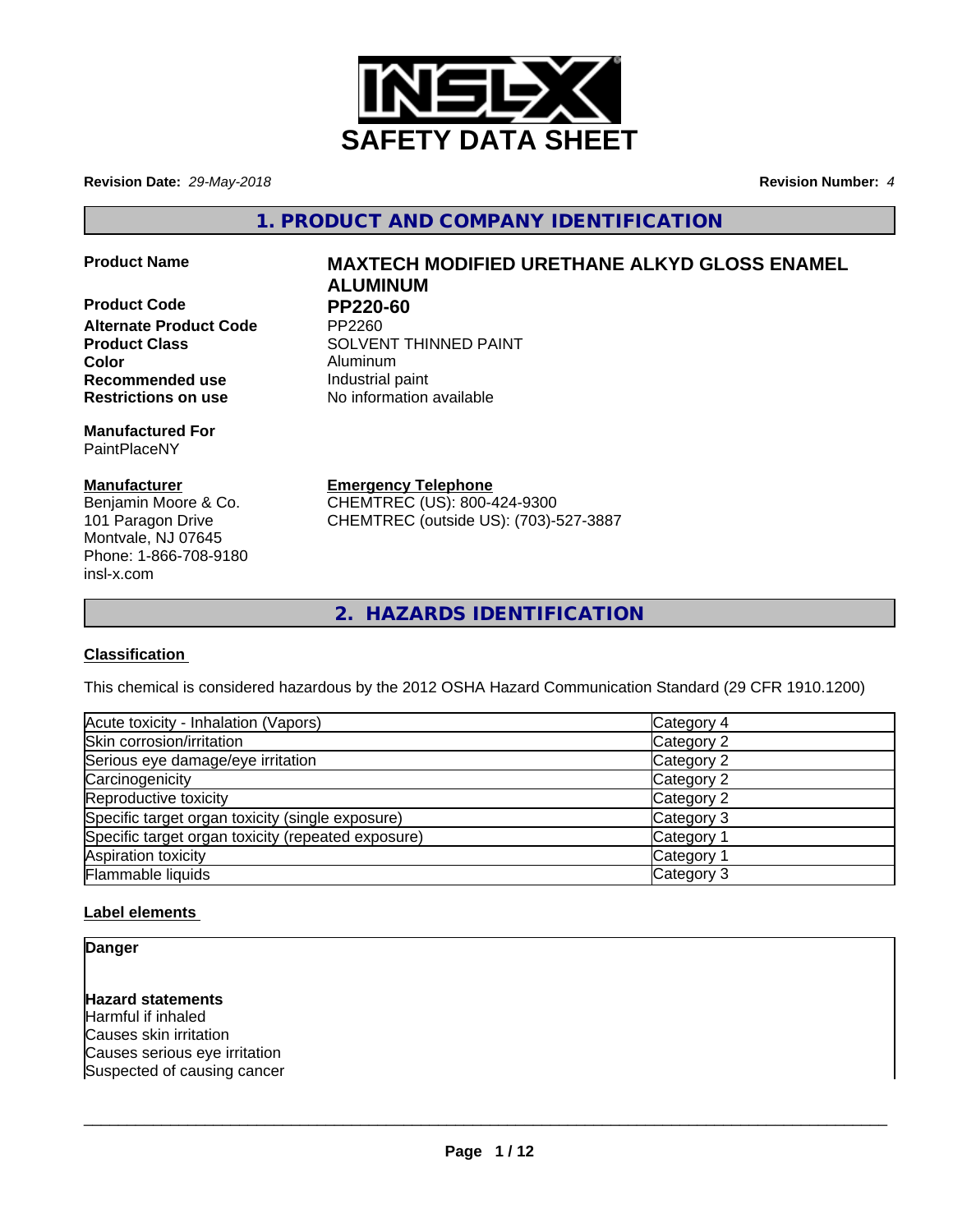

**Revision Date:** *29-May-2018* **Revision Number:** *4*

**1. PRODUCT AND COMPANY IDENTIFICATION**

**Product Code PP220-60<br>Alternate Product Code PP2260 Alternate Product Code Color** Aluminum **Recommended use Industrial paint Restrictions on use** No information available

**Manufactured For** PaintPlaceNY

## **Manufacturer**

Benjamin Moore & Co. 101 Paragon Drive Montvale, NJ 07645 Phone: 1-866-708-9180 insl-x.com

# **Product Name MAXTECH MODIFIED URETHANE ALKYD GLOSS ENAMEL ALUMINUM**

**Product Class SOLVENT THINNED PAINT** 

**Emergency Telephone**

CHEMTREC (US): 800-424-9300 CHEMTREC (outside US): (703)-527-3887

# **2. HAZARDS IDENTIFICATION**

# **Classification**

This chemical is considered hazardous by the 2012 OSHA Hazard Communication Standard (29 CFR 1910.1200)

| Acute toxicity - Inhalation (Vapors)               | Category 4            |
|----------------------------------------------------|-----------------------|
| Skin corrosion/irritation                          | Category 2            |
| Serious eye damage/eye irritation                  | Category 2            |
| Carcinogenicity                                    | Category 2            |
| Reproductive toxicity                              | Category 2            |
| Specific target organ toxicity (single exposure)   | Category 3            |
| Specific target organ toxicity (repeated exposure) | Category 1            |
| Aspiration toxicity                                | Category <sup>2</sup> |
| Flammable liquids                                  | Category 3            |

## **Label elements**

**Danger**

**Hazard statements** Harmful if inhaled Causes skin irritation Causes serious eye irritation Suspected of causing cancer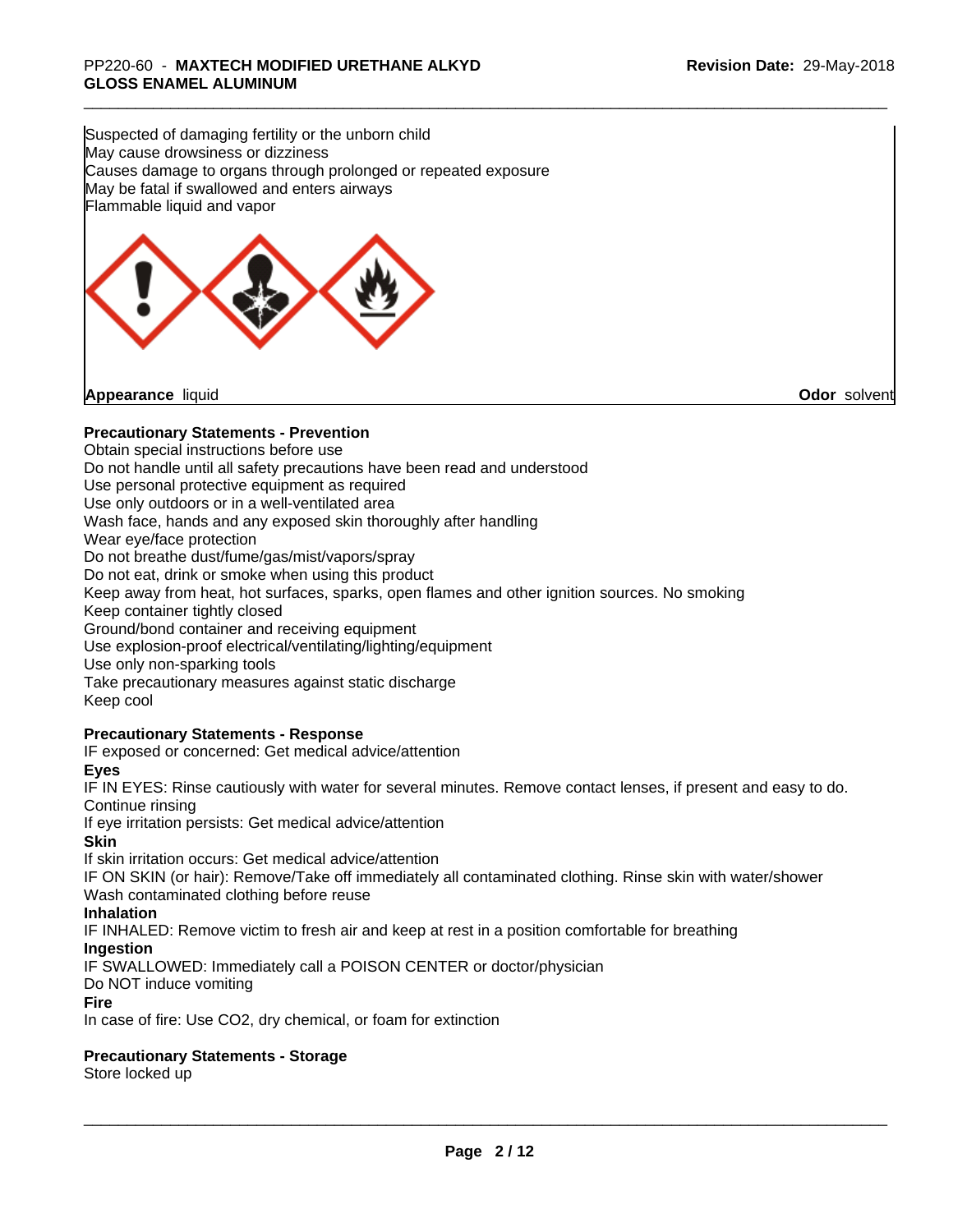Suspected of damaging fertility or the unborn child May cause drowsiness or dizziness Causes damage to organs through prolonged or repeated exposure May be fatal if swallowed and enters airways Flammable liquid and vapor



## **Precautionary Statements - Prevention**

Obtain special instructions before use Do not handle until all safety precautions have been read and understood Use personal protective equipment as required Use only outdoors or in a well-ventilated area Wash face, hands and any exposed skin thoroughly after handling Wear eye/face protection Do not breathe dust/fume/gas/mist/vapors/spray Do not eat, drink or smoke when using this product Keep away from heat, hot surfaces, sparks, open flames and other ignition sources. No smoking Keep container tightly closed Ground/bond container and receiving equipment Use explosion-proof electrical/ventilating/lighting/equipment Use only non-sparking tools Take precautionary measures against static discharge Keep cool

## **Precautionary Statements - Response**

IF exposed or concerned: Get medical advice/attention **Eyes**

IF IN EYES: Rinse cautiously with water forseveral minutes. Remove contact lenses, if present and easy to do. Continue rinsing

If eye irritation persists: Get medical advice/attention

**Skin**

If skin irritation occurs: Get medical advice/attention

IF ON SKIN (or hair): Remove/Take off immediately all contaminated clothing. Rinse skin with water/shower Wash contaminated clothing before reuse

**Inhalation**

IF INHALED: Remove victim to fresh air and keep at rest in a position comfortable for breathing

**Ingestion**

IF SWALLOWED: Immediately call a POISON CENTER or doctor/physician

Do NOT induce vomiting

#### **Fire**

In case of fire: Use CO2, dry chemical, or foam for extinction

## **Precautionary Statements - Storage**

Store locked up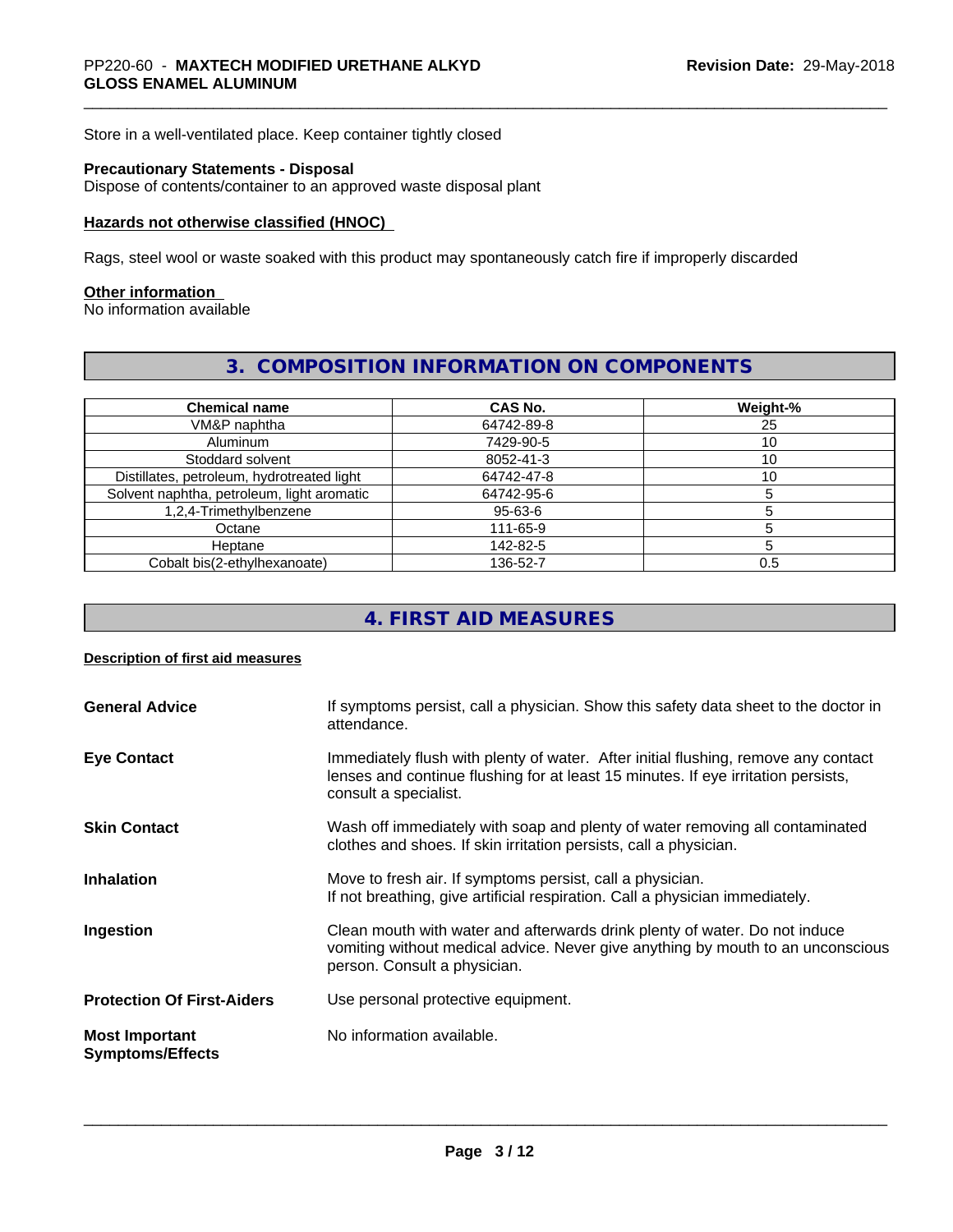Store in a well-ventilated place. Keep container tightly closed

# **Precautionary Statements - Disposal**

Dispose of contents/container to an approved waste disposal plant

#### **Hazards not otherwise classified (HNOC)**

Rags, steel wool or waste soaked with this product may spontaneously catch fire if improperly discarded

#### **Other information**

No information available

## **3. COMPOSITION INFORMATION ON COMPONENTS**

| <b>Chemical name</b>                       | <b>CAS No.</b> | Weight-% |
|--------------------------------------------|----------------|----------|
| VM&P naphtha                               | 64742-89-8     | 25       |
| Aluminum                                   | 7429-90-5      | ıυ       |
| Stoddard solvent                           | 8052-41-3      | ۱0       |
| Distillates, petroleum, hydrotreated light | 64742-47-8     | ١0       |
| Solvent naphtha, petroleum, light aromatic | 64742-95-6     |          |
| 1,2,4-Trimethylbenzene                     | 95-63-6        |          |
| Octane                                     | 111-65-9       |          |
| Heptane                                    | 142-82-5       |          |
| Cobalt bis(2-ethylhexanoate)               | 136-52-7       | 0.5      |

# **4. FIRST AID MEASURES**

#### **Description of first aid measures**

| <b>General Advice</b>                            | If symptoms persist, call a physician. Show this safety data sheet to the doctor in<br>attendance.                                                                                               |
|--------------------------------------------------|--------------------------------------------------------------------------------------------------------------------------------------------------------------------------------------------------|
| <b>Eye Contact</b>                               | Immediately flush with plenty of water. After initial flushing, remove any contact<br>lenses and continue flushing for at least 15 minutes. If eye irritation persists,<br>consult a specialist. |
| <b>Skin Contact</b>                              | Wash off immediately with soap and plenty of water removing all contaminated<br>clothes and shoes. If skin irritation persists, call a physician.                                                |
| <b>Inhalation</b>                                | Move to fresh air. If symptoms persist, call a physician.<br>If not breathing, give artificial respiration. Call a physician immediately.                                                        |
| Ingestion                                        | Clean mouth with water and afterwards drink plenty of water. Do not induce<br>vomiting without medical advice. Never give anything by mouth to an unconscious<br>person. Consult a physician.    |
| <b>Protection Of First-Aiders</b>                | Use personal protective equipment.                                                                                                                                                               |
| <b>Most Important</b><br><b>Symptoms/Effects</b> | No information available.                                                                                                                                                                        |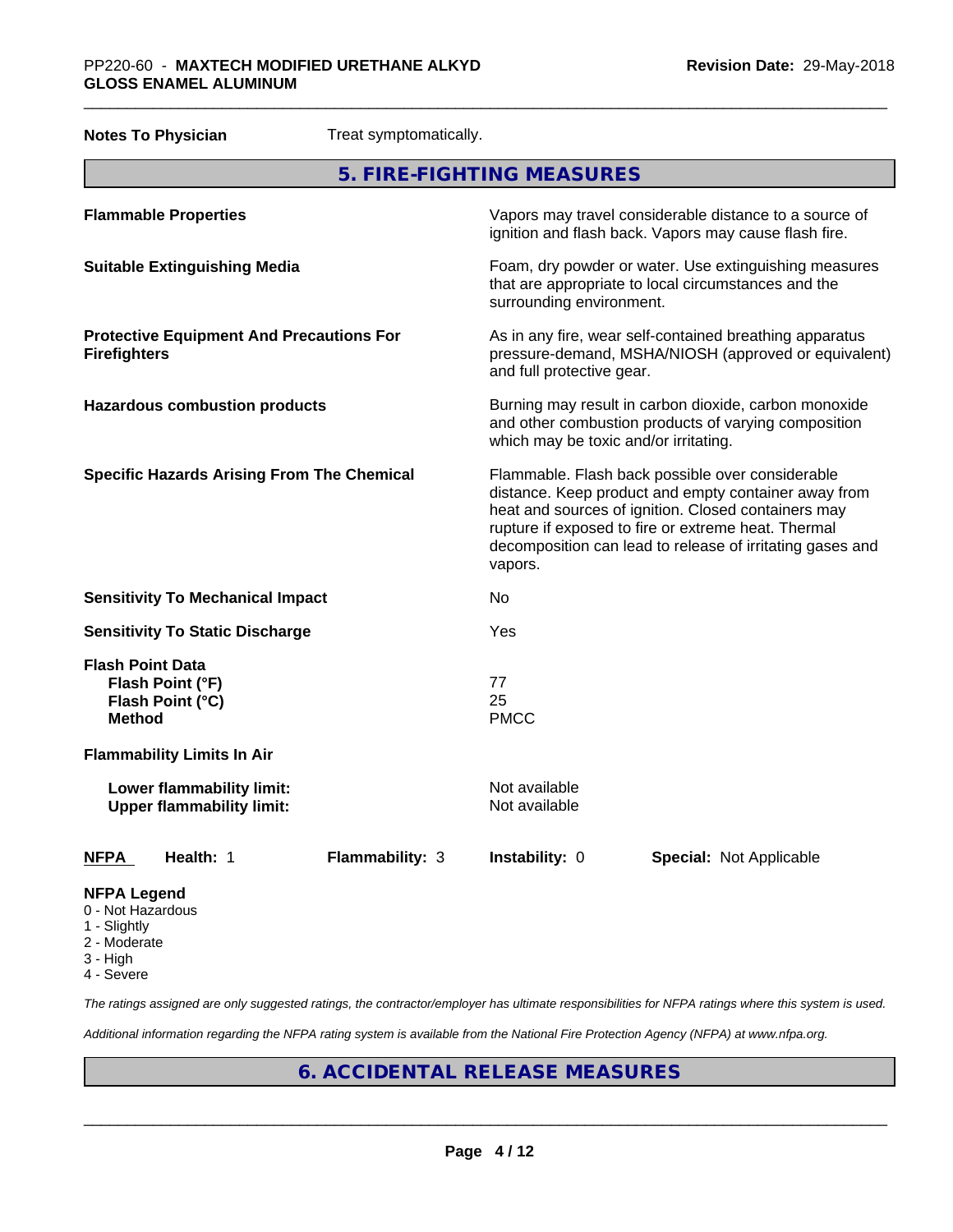| <b>Notes To Physician</b><br>Treat symptomatically.                              |                                                                                                                                                                                                                                                                                                |
|----------------------------------------------------------------------------------|------------------------------------------------------------------------------------------------------------------------------------------------------------------------------------------------------------------------------------------------------------------------------------------------|
|                                                                                  | 5. FIRE-FIGHTING MEASURES                                                                                                                                                                                                                                                                      |
| <b>Flammable Properties</b>                                                      | Vapors may travel considerable distance to a source of<br>ignition and flash back. Vapors may cause flash fire.                                                                                                                                                                                |
| <b>Suitable Extinguishing Media</b>                                              | Foam, dry powder or water. Use extinguishing measures<br>that are appropriate to local circumstances and the<br>surrounding environment.                                                                                                                                                       |
| <b>Protective Equipment And Precautions For</b><br><b>Firefighters</b>           | As in any fire, wear self-contained breathing apparatus<br>pressure-demand, MSHA/NIOSH (approved or equivalent)<br>and full protective gear.                                                                                                                                                   |
| <b>Hazardous combustion products</b>                                             | Burning may result in carbon dioxide, carbon monoxide<br>and other combustion products of varying composition<br>which may be toxic and/or irritating.                                                                                                                                         |
| <b>Specific Hazards Arising From The Chemical</b>                                | Flammable. Flash back possible over considerable<br>distance. Keep product and empty container away from<br>heat and sources of ignition. Closed containers may<br>rupture if exposed to fire or extreme heat. Thermal<br>decomposition can lead to release of irritating gases and<br>vapors. |
| <b>Sensitivity To Mechanical Impact</b>                                          | No                                                                                                                                                                                                                                                                                             |
| <b>Sensitivity To Static Discharge</b>                                           | Yes                                                                                                                                                                                                                                                                                            |
| <b>Flash Point Data</b><br>Flash Point (°F)<br>Flash Point (°C)<br><b>Method</b> | 77<br>25<br><b>PMCC</b>                                                                                                                                                                                                                                                                        |
| <b>Flammability Limits In Air</b>                                                |                                                                                                                                                                                                                                                                                                |
| Lower flammability limit:<br><b>Upper flammability limit:</b>                    | Not available<br>Not available                                                                                                                                                                                                                                                                 |
| Health: 1<br><b>Flammability: 3</b><br>NFPA                                      | Instability: 0<br>Special: Not Applicable                                                                                                                                                                                                                                                      |
| <b>NFPA Legend</b><br>0 - Not Hazardous                                          |                                                                                                                                                                                                                                                                                                |

- 1 Slightly
- 2 Moderate
- 3 High
- 4 Severe

*The ratings assigned are only suggested ratings, the contractor/employer has ultimate responsibilities for NFPA ratings where this system is used.*

*Additional information regarding the NFPA rating system is available from the National Fire Protection Agency (NFPA) at www.nfpa.org.*

# **6. ACCIDENTAL RELEASE MEASURES**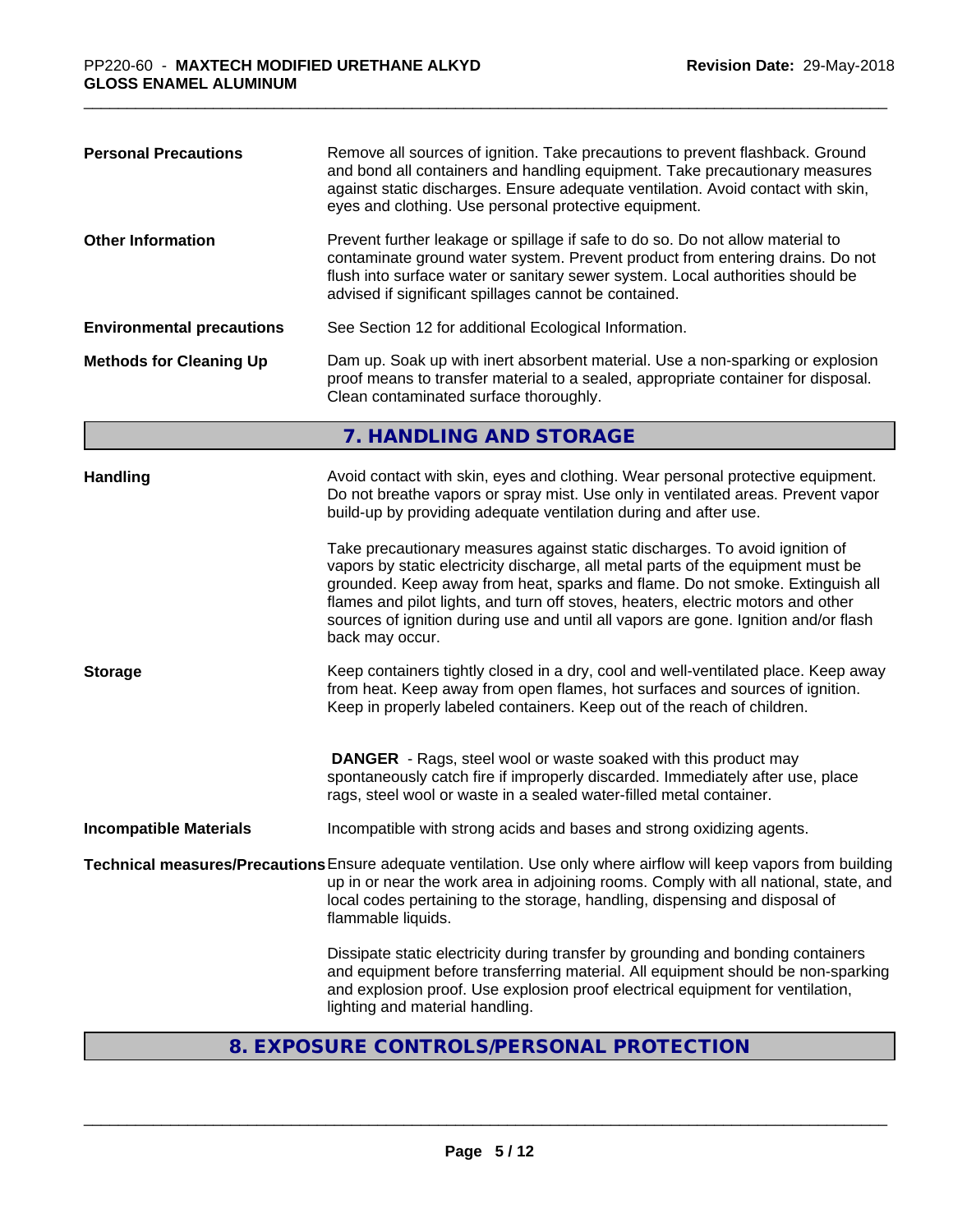# **8. EXPOSURE CONTROLS/PERSONAL PROTECTION**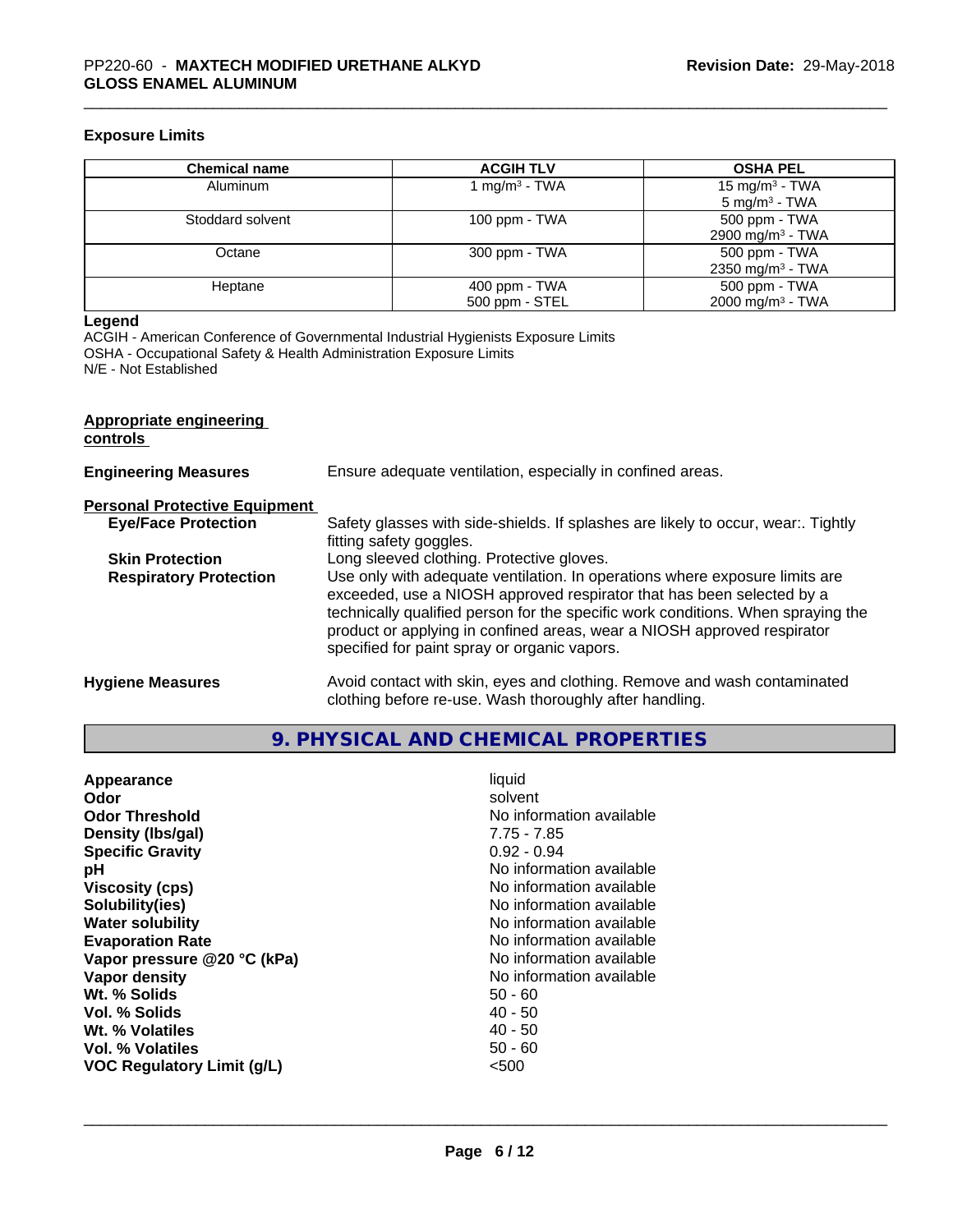#### **Exposure Limits**

| <b>Chemical name</b> | <b>ACGIH TLV</b>          | <b>OSHA PEL</b>              |
|----------------------|---------------------------|------------------------------|
| Aluminum             | 1 mg/m <sup>3</sup> - TWA | 15 mg/m $3$ - TWA            |
|                      |                           | 5 mg/m <sup>3</sup> - TWA    |
| Stoddard solvent     | 100 ppm $-$ TWA           | 500 ppm - TWA                |
|                      |                           | 2900 mg/m <sup>3</sup> - TWA |
| Octane               | 300 ppm - TWA             | 500 ppm - TWA                |
|                      |                           | 2350 mg/m <sup>3</sup> - TWA |
| Heptane              | $400$ ppm - TWA           | 500 ppm - TWA                |
|                      | 500 ppm - STEL            | 2000 mg/m <sup>3</sup> - TWA |

#### **Legend**

ACGIH - American Conference of Governmental Industrial Hygienists Exposure Limits OSHA - Occupational Safety & Health Administration Exposure Limits N/E - Not Established

| Appropriate engineering<br>controls  |                                                                                                                                                                                                                                                                                                                                                                     |
|--------------------------------------|---------------------------------------------------------------------------------------------------------------------------------------------------------------------------------------------------------------------------------------------------------------------------------------------------------------------------------------------------------------------|
| <b>Engineering Measures</b>          | Ensure adequate ventilation, especially in confined areas.                                                                                                                                                                                                                                                                                                          |
| <b>Personal Protective Equipment</b> |                                                                                                                                                                                                                                                                                                                                                                     |
| <b>Eye/Face Protection</b>           | Safety glasses with side-shields. If splashes are likely to occur, wear:. Tightly<br>fitting safety goggles.                                                                                                                                                                                                                                                        |
| <b>Skin Protection</b>               | Long sleeved clothing. Protective gloves.                                                                                                                                                                                                                                                                                                                           |
| <b>Respiratory Protection</b>        | Use only with adequate ventilation. In operations where exposure limits are<br>exceeded, use a NIOSH approved respirator that has been selected by a<br>technically qualified person for the specific work conditions. When spraying the<br>product or applying in confined areas, wear a NIOSH approved respirator<br>specified for paint spray or organic vapors. |
| <b>Hygiene Measures</b>              | Avoid contact with skin, eyes and clothing. Remove and wash contaminated<br>clothing before re-use. Wash thoroughly after handling.                                                                                                                                                                                                                                 |

**9. PHYSICAL AND CHEMICAL PROPERTIES**

| Appearance<br>Odor<br><b>Odor Threshold</b><br>Density (Ibs/gal)<br><b>Specific Gravity</b><br>рH<br><b>Viscosity (cps)</b><br>Solubility(ies)<br><b>Water solubility</b><br><b>Evaporation Rate</b><br>Vapor pressure @20 °C (kPa)<br>Vapor density<br>Wt. % Solids<br>Vol. % Solids<br>Wt. % Volatiles | liquid<br>solvent<br>No information available<br>$7.75 - 7.85$<br>$0.92 - 0.94$<br>No information available<br>No information available<br>No information available<br>No information available<br>No information available<br>No information available<br>No information available<br>$50 - 60$<br>$40 - 50$<br>$40 - 50$<br>$50 - 60$ |
|----------------------------------------------------------------------------------------------------------------------------------------------------------------------------------------------------------------------------------------------------------------------------------------------------------|-----------------------------------------------------------------------------------------------------------------------------------------------------------------------------------------------------------------------------------------------------------------------------------------------------------------------------------------|
| Vol. % Volatiles<br><b>VOC Regulatory Limit (g/L)</b>                                                                                                                                                                                                                                                    | < 500                                                                                                                                                                                                                                                                                                                                   |
|                                                                                                                                                                                                                                                                                                          |                                                                                                                                                                                                                                                                                                                                         |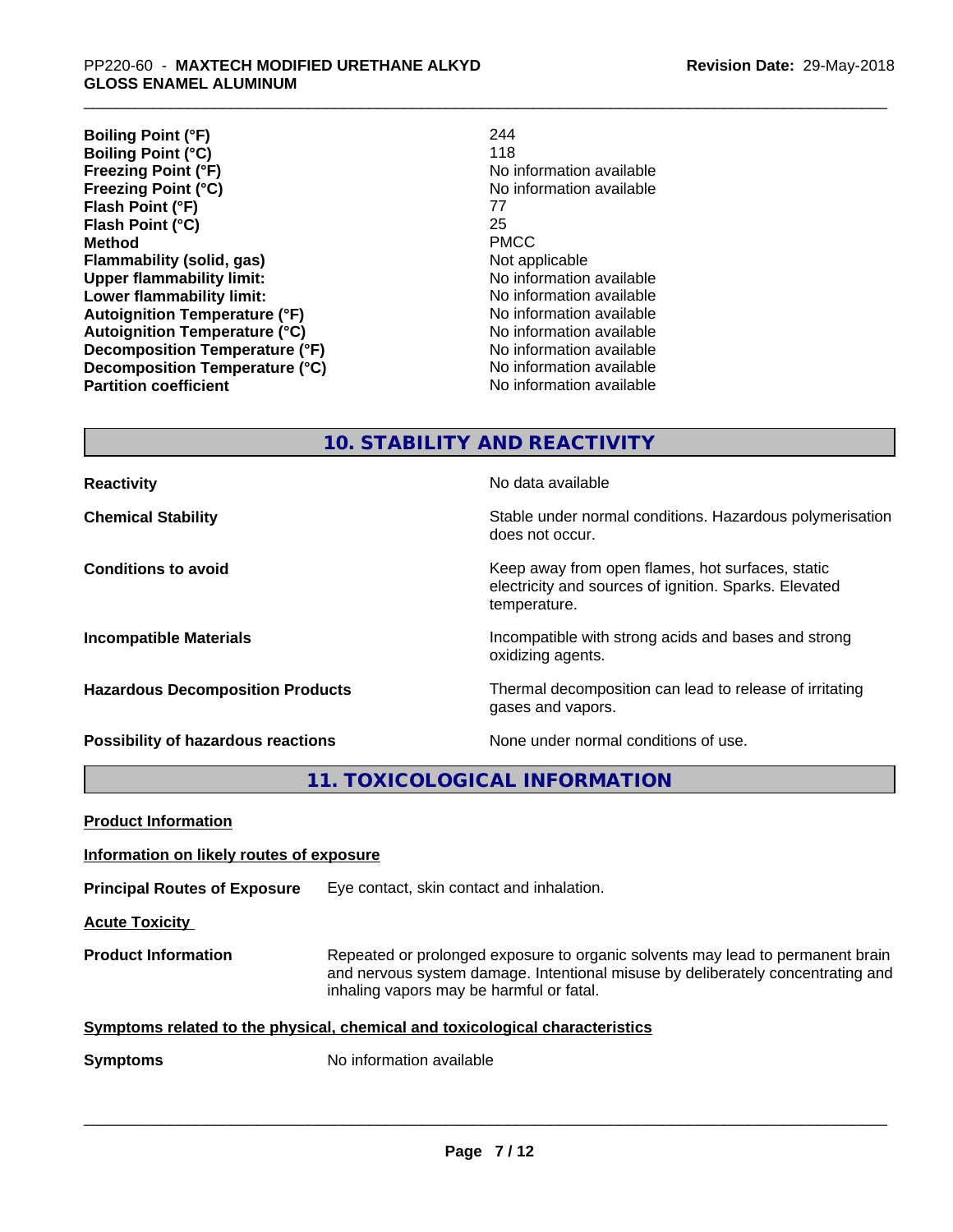| 244                      |
|--------------------------|
| 118                      |
| No information available |
| No information available |
| 77                       |
| 25                       |
| <b>PMCC</b>              |
| Not applicable           |
| No information available |
| No information available |
| No information available |
| No information available |
| No information available |
| No information available |
| No information available |
|                          |

**10. STABILITY AND REACTIVITY**

| <b>Reactivity</b>                         | No data available                                                                                                         |
|-------------------------------------------|---------------------------------------------------------------------------------------------------------------------------|
| <b>Chemical Stability</b>                 | Stable under normal conditions. Hazardous polymerisation<br>does not occur.                                               |
| <b>Conditions to avoid</b>                | Keep away from open flames, hot surfaces, static<br>electricity and sources of ignition. Sparks. Elevated<br>temperature. |
| <b>Incompatible Materials</b>             | Incompatible with strong acids and bases and strong<br>oxidizing agents.                                                  |
| <b>Hazardous Decomposition Products</b>   | Thermal decomposition can lead to release of irritating<br>gases and vapors.                                              |
| <b>Possibility of hazardous reactions</b> | None under normal conditions of use.                                                                                      |

**11. TOXICOLOGICAL INFORMATION**

| Information on likely routes of exposure                                                                                                                                                                      |  |
|---------------------------------------------------------------------------------------------------------------------------------------------------------------------------------------------------------------|--|
| Eye contact, skin contact and inhalation.                                                                                                                                                                     |  |
|                                                                                                                                                                                                               |  |
| Repeated or prolonged exposure to organic solvents may lead to permanent brain<br>and nervous system damage. Intentional misuse by deliberately concentrating and<br>inhaling vapors may be harmful or fatal. |  |
| Symptoms related to the physical, chemical and toxicological characteristics                                                                                                                                  |  |
| No information available                                                                                                                                                                                      |  |
|                                                                                                                                                                                                               |  |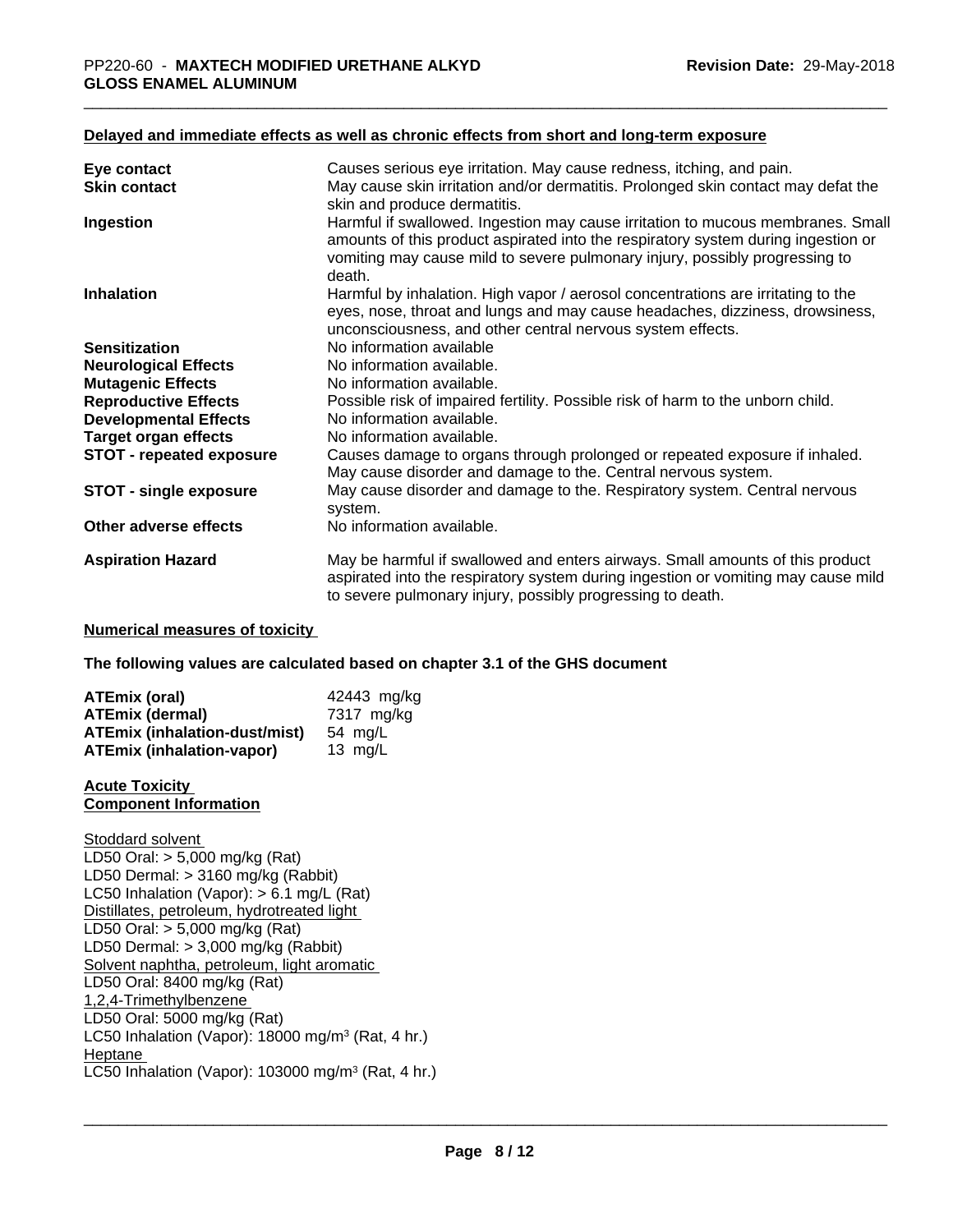#### **Delayed and immediate effects as well as chronic effects from short and long-term exposure**

| Eye contact                     | Causes serious eye irritation. May cause redness, itching, and pain.                                                                                                                                                                                          |
|---------------------------------|---------------------------------------------------------------------------------------------------------------------------------------------------------------------------------------------------------------------------------------------------------------|
| <b>Skin contact</b>             | May cause skin irritation and/or dermatitis. Prolonged skin contact may defat the<br>skin and produce dermatitis.                                                                                                                                             |
| Ingestion                       | Harmful if swallowed. Ingestion may cause irritation to mucous membranes. Small<br>amounts of this product aspirated into the respiratory system during ingestion or<br>vomiting may cause mild to severe pulmonary injury, possibly progressing to<br>death. |
| <b>Inhalation</b>               | Harmful by inhalation. High vapor / aerosol concentrations are irritating to the<br>eyes, nose, throat and lungs and may cause headaches, dizziness, drowsiness,<br>unconsciousness, and other central nervous system effects.                                |
| <b>Sensitization</b>            | No information available                                                                                                                                                                                                                                      |
| <b>Neurological Effects</b>     | No information available.                                                                                                                                                                                                                                     |
| <b>Mutagenic Effects</b>        | No information available.                                                                                                                                                                                                                                     |
| <b>Reproductive Effects</b>     | Possible risk of impaired fertility. Possible risk of harm to the unborn child.                                                                                                                                                                               |
| <b>Developmental Effects</b>    | No information available.                                                                                                                                                                                                                                     |
| <b>Target organ effects</b>     | No information available.                                                                                                                                                                                                                                     |
| <b>STOT - repeated exposure</b> | Causes damage to organs through prolonged or repeated exposure if inhaled.<br>May cause disorder and damage to the. Central nervous system.                                                                                                                   |
| <b>STOT - single exposure</b>   | May cause disorder and damage to the. Respiratory system. Central nervous<br>system.                                                                                                                                                                          |
| Other adverse effects           | No information available.                                                                                                                                                                                                                                     |
| <b>Aspiration Hazard</b>        | May be harmful if swallowed and enters airways. Small amounts of this product<br>aspirated into the respiratory system during ingestion or vomiting may cause mild<br>to severe pulmonary injury, possibly progressing to death.                              |

#### **Numerical measures of toxicity**

**The following values are calculated based on chapter 3.1 of the GHS document**

| ATEmix (oral)                        | 42443 mg/kg |
|--------------------------------------|-------------|
| ATEmix (dermal)                      | 7317 ma/ka  |
| <b>ATEmix (inhalation-dust/mist)</b> | 54 ma/L     |
| <b>ATEmix (inhalation-vapor)</b>     | 13 $ma/L$   |

#### **Acute Toxicity Component Information**

Stoddard solvent LD50 Oral: > 5,000 mg/kg (Rat) LD50 Dermal: > 3160 mg/kg (Rabbit) LC50 Inhalation (Vapor): > 6.1 mg/L (Rat) Distillates, petroleum, hydrotreated light LD50 Oral: > 5,000 mg/kg (Rat) LD50 Dermal: > 3,000 mg/kg (Rabbit) Solvent naphtha, petroleum, light aromatic LD50 Oral: 8400 mg/kg (Rat) 1,2,4-Trimethylbenzene LD50 Oral: 5000 mg/kg (Rat) LC50 Inhalation (Vapor): 18000 mg/m<sup>3</sup> (Rat, 4 hr.) Heptane \_\_\_\_\_\_\_\_\_\_\_\_\_\_\_\_\_\_\_\_\_\_\_\_\_\_\_\_\_\_\_\_\_\_\_\_\_\_\_\_\_\_\_\_\_\_\_\_\_\_\_\_\_\_\_\_\_\_\_\_\_\_\_\_\_\_\_\_\_\_\_\_\_\_\_\_\_\_\_\_\_\_\_\_\_\_\_\_\_\_\_\_\_ LC50 Inhalation (Vapor): 103000 mg/m<sup>3</sup> (Rat, 4 hr.)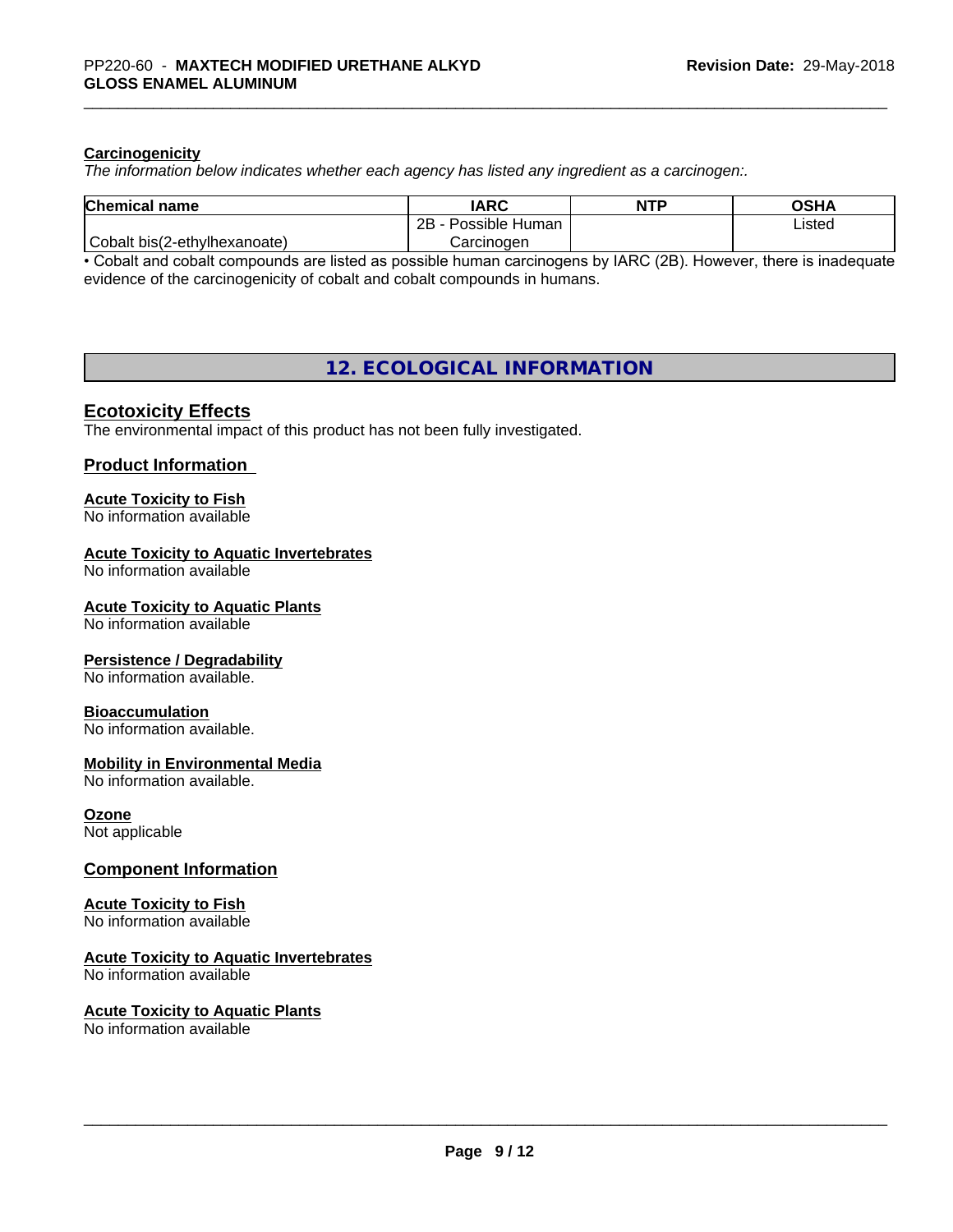#### **Carcinogenicity**

*The information below indicateswhether each agency has listed any ingredient as a carcinogen:.*

| <b>Chemical</b><br>l name    | <b>IARC</b>                      | <b>NTP</b> | OSHA   |
|------------------------------|----------------------------------|------------|--------|
|                              | . .<br>2B<br>Possible<br>⊧ Human |            | Listed |
| Cobalt bis(2-ethylhexanoate) | Carcinoɑen                       |            |        |

• Cobalt and cobalt compounds are listed as possible human carcinogens by IARC (2B). However, there is inadequate evidence of the carcinogenicity of cobalt and cobalt compounds in humans.

# **12. ECOLOGICAL INFORMATION**

#### **Ecotoxicity Effects**

The environmental impact of this product has not been fully investigated.

#### **Product Information**

# **Acute Toxicity to Fish**

No information available

#### **Acute Toxicity to Aquatic Invertebrates**

No information available

#### **Acute Toxicity to Aquatic Plants**

No information available

#### **Persistence / Degradability**

No information available.

#### **Bioaccumulation**

No information available.

#### **Mobility in Environmental Media**

No information available.

#### **Ozone**

Not applicable

## **Component Information**

# **Acute Toxicity to Fish**

No information available

### **Acute Toxicity to Aquatic Invertebrates**

No information available

#### **Acute Toxicity to Aquatic Plants** No information available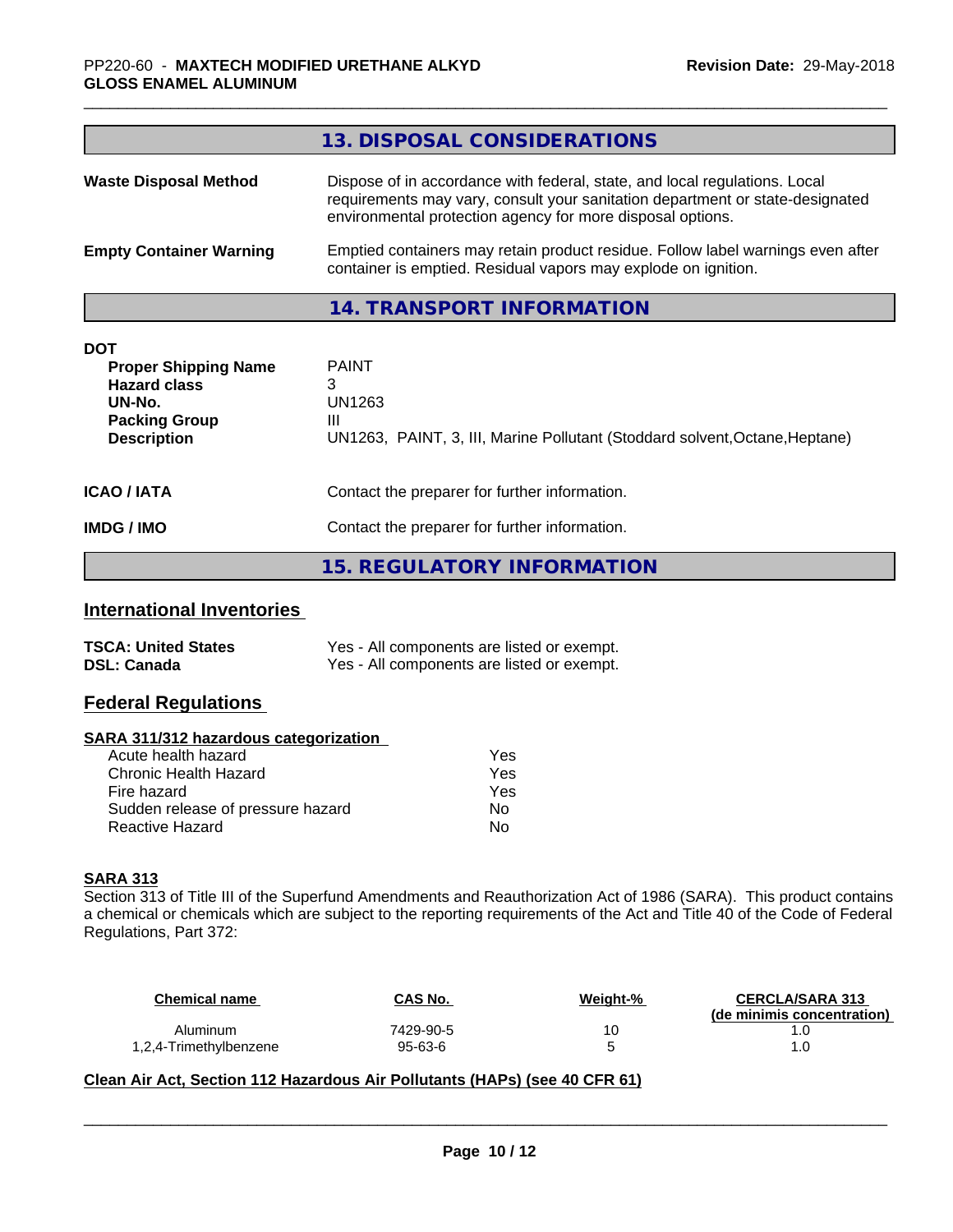|                                                                                                                          | 13. DISPOSAL CONSIDERATIONS                                                                                                                                                                                               |
|--------------------------------------------------------------------------------------------------------------------------|---------------------------------------------------------------------------------------------------------------------------------------------------------------------------------------------------------------------------|
| <b>Waste Disposal Method</b>                                                                                             | Dispose of in accordance with federal, state, and local regulations. Local<br>requirements may vary, consult your sanitation department or state-designated<br>environmental protection agency for more disposal options. |
| <b>Empty Container Warning</b>                                                                                           | Emptied containers may retain product residue. Follow label warnings even after<br>container is emptied. Residual vapors may explode on ignition.                                                                         |
|                                                                                                                          | 14. TRANSPORT INFORMATION                                                                                                                                                                                                 |
| <b>DOT</b><br><b>Proper Shipping Name</b><br><b>Hazard class</b><br>UN-No.<br><b>Packing Group</b><br><b>Description</b> | <b>PAINT</b><br>3<br>UN1263<br>Ш<br>UN1263, PAINT, 3, III, Marine Pollutant (Stoddard solvent, Octane, Heptane)                                                                                                           |
| <b>ICAO/IATA</b>                                                                                                         | Contact the preparer for further information.                                                                                                                                                                             |

**15. REGULATORY INFORMATION**

# **International Inventories**

| <b>TSCA: United States</b> | Yes - All components are listed or exempt. |
|----------------------------|--------------------------------------------|
| <b>DSL: Canada</b>         | Yes - All components are listed or exempt. |

**IMDG / IMO** Contact the preparer for further information.

# **Federal Regulations**

#### **SARA 311/312 hazardous categorization**

| Acute health hazard               | Yes |
|-----------------------------------|-----|
| Chronic Health Hazard             | Yes |
| Fire hazard                       | Yes |
| Sudden release of pressure hazard | Nο  |
| Reactive Hazard                   | N٥  |

# **SARA 313**

Section 313 of Title III of the Superfund Amendments and Reauthorization Act of 1986 (SARA). This product contains a chemical or chemicals which are subject to the reporting requirements of the Act and Title 40 of the Code of Federal Regulations, Part 372:

| Chemical name          | CAS No.   | Weight-% | <b>CERCLA/SARA 313</b><br>(de minimis concentration) |
|------------------------|-----------|----------|------------------------------------------------------|
| Aluminum               | 7429-90-5 | 10       |                                                      |
| 1,2,4-Trimethylbenzene | 95-63-6   |          | . .U                                                 |

 $\overline{\phantom{a}}$  ,  $\overline{\phantom{a}}$  ,  $\overline{\phantom{a}}$  ,  $\overline{\phantom{a}}$  ,  $\overline{\phantom{a}}$  ,  $\overline{\phantom{a}}$  ,  $\overline{\phantom{a}}$  ,  $\overline{\phantom{a}}$  ,  $\overline{\phantom{a}}$  ,  $\overline{\phantom{a}}$  ,  $\overline{\phantom{a}}$  ,  $\overline{\phantom{a}}$  ,  $\overline{\phantom{a}}$  ,  $\overline{\phantom{a}}$  ,  $\overline{\phantom{a}}$  ,  $\overline{\phantom{a}}$ 

### **Clean Air Act,Section 112 Hazardous Air Pollutants (HAPs) (see 40 CFR 61)**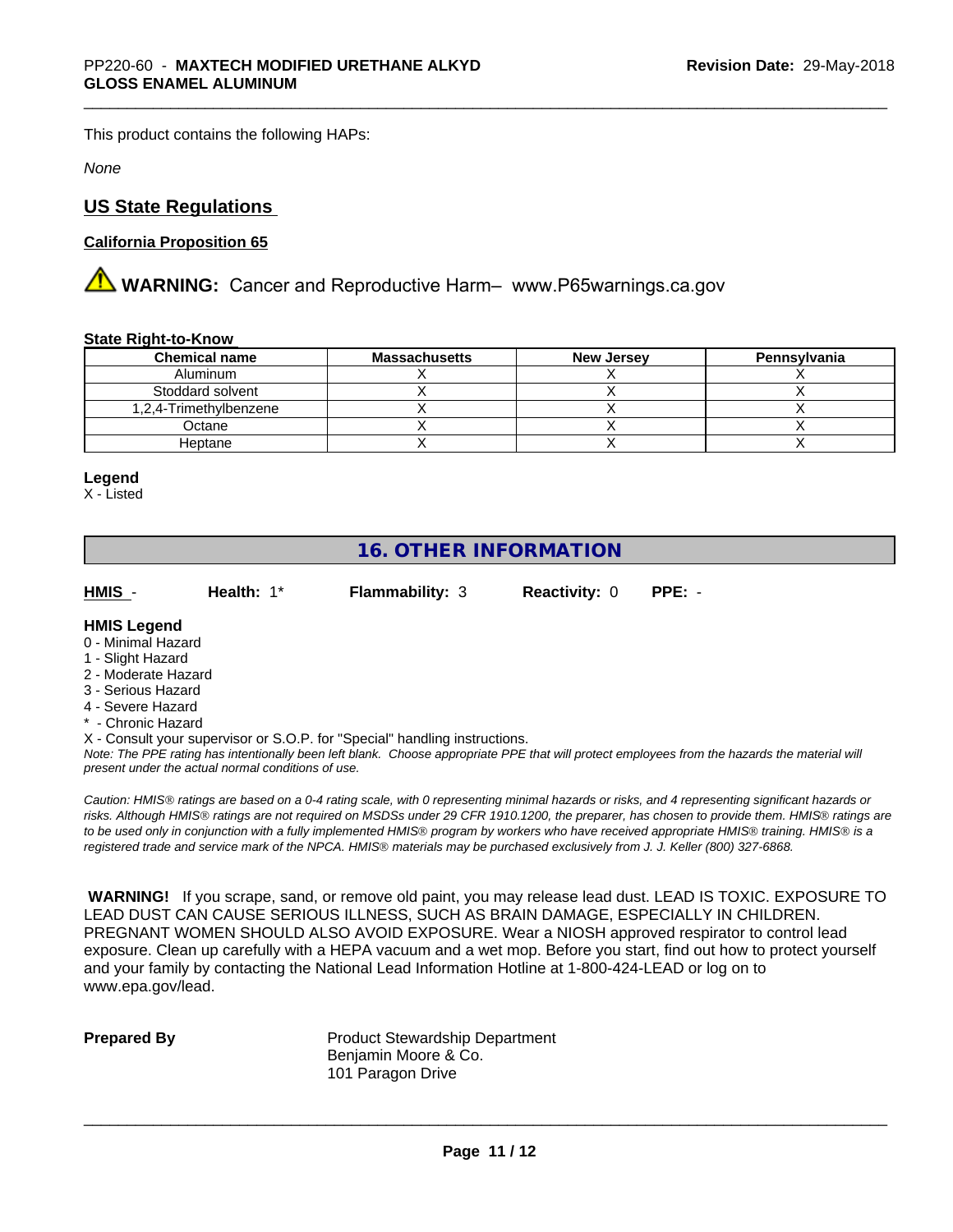This product contains the following HAPs:

*None*

# **US State Regulations**

## **California Proposition 65**

**AN** WARNING: Cancer and Reproductive Harm– www.P65warnings.ca.gov

#### **State Right-to-Know**

| <b>Chemical name</b>   | <b>Massachusetts</b> | <b>New Jersey</b> | Pennsylvania |
|------------------------|----------------------|-------------------|--------------|
| Aluminum               |                      |                   |              |
| Stoddard solvent       |                      |                   |              |
| 1,2,4-Trimethylbenzene |                      |                   |              |
| Octane                 |                      |                   |              |
| Heptane                |                      |                   |              |

#### **Legend**

X - Listed

# **16. OTHER INFORMATION**

**HMIS** - **Health:** 1\* **Flammability:** 3 **Reactivity:** 0 **PPE:** -

## **HMIS Legend**

- 0 Minimal Hazard
- 1 Slight Hazard
- 2 Moderate Hazard
- 3 Serious Hazard
- 4 Severe Hazard
- \* Chronic Hazard

X - Consult your supervisor or S.O.P. for "Special" handling instructions.

*Note: The PPE rating has intentionally been left blank. Choose appropriate PPE that will protect employees from the hazards the material will present under the actual normal conditions of use.*

*Caution: HMISÒ ratings are based on a 0-4 rating scale, with 0 representing minimal hazards or risks, and 4 representing significant hazards or risks. Although HMISÒ ratings are not required on MSDSs under 29 CFR 1910.1200, the preparer, has chosen to provide them. HMISÒ ratings are to be used only in conjunction with a fully implemented HMISÒ program by workers who have received appropriate HMISÒ training. HMISÒ is a registered trade and service mark of the NPCA. HMISÒ materials may be purchased exclusively from J. J. Keller (800) 327-6868.*

 **WARNING!** If you scrape, sand, or remove old paint, you may release lead dust. LEAD IS TOXIC. EXPOSURE TO LEAD DUST CAN CAUSE SERIOUS ILLNESS, SUCH AS BRAIN DAMAGE, ESPECIALLY IN CHILDREN. PREGNANT WOMEN SHOULD ALSO AVOID EXPOSURE.Wear a NIOSH approved respirator to control lead exposure. Clean up carefully with a HEPA vacuum and a wet mop. Before you start, find out how to protect yourself and your family by contacting the National Lead Information Hotline at 1-800-424-LEAD or log on to www.epa.gov/lead.

**Prepared By** Product Stewardship Department Benjamin Moore & Co. 101 Paragon Drive